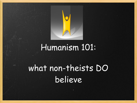

# Humanism 101:

# what non-theists DO believe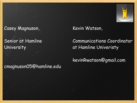#### Casey Magnuson,

Senior at Hamline **University** 

#### cmagnuson05@hamline.edu

Kevin Watson,

#### Communications Coordinator at Hamline Univeristy

kevinRwatson@gmail.com

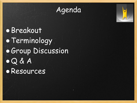

# **•**Breakout • Terminology **• Group Discussion** ●Q & A ●Resources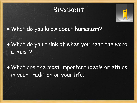### Breakout



●What do you know about humanism?

●What do you think of when you hear the word atheist?

●What are the most important ideals or ethics in your tradition or your life?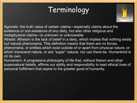## Terminology



Agnostic: the truth value of certain claims—especially claims about the existence or non-existence of any diety, but also other religious and metaphysical claims—is unknown or unknowable

Atheist: Atheism is the lack of belief in a deity, which implies that nothing exists but natural phenomena. This definition means that there are no forces, phenomena, or entities which exist outside of or apart from physical nature, or which transcend nature, or are "super" natural, nor can there be. Humankind is on its own.

Humanism: A progressive philosophy of life that, without theism and other supernatural beliefs, affirms our ability and responsibility to lead ethical lives of personal fulfillment that aspire to the greater good of humanity.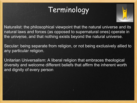## Terminology



Naturalist: the philosophical viewpoint that the natural universe and its natural laws and forces (as opposed to supernatural ones) operate in the universe, and that nothing exists beyond the natural universe.

Secular: being separate from religion, or not being exclusively allied to any particular religion.

Unitarian Universalism: A liberal religion that embraces theological diversity and welcome different beliefs that affirm the inherent worth and dignity of every person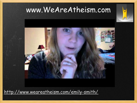



<http://www.weareatheism.com/emily-smith/>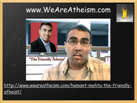#### www.WeAreAtheism.com



[http://www.weareatheism.com/hemant-mehta-the-friendly](http://www.weareatheism.com/hemant-mehta-the-friendly-atheist/)[atheist/](http://www.weareatheism.com/hemant-mehta-the-friendly-atheist/)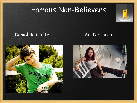## Famous Non-Believers



#### Daniel Radcliffe Ani DiFranco



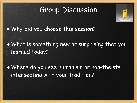## Group Discussion



• Why did you choose this session?

●What is something new or surprising that you learned today?

●Where do you see humanism or non-theists intersecting with your tradition?